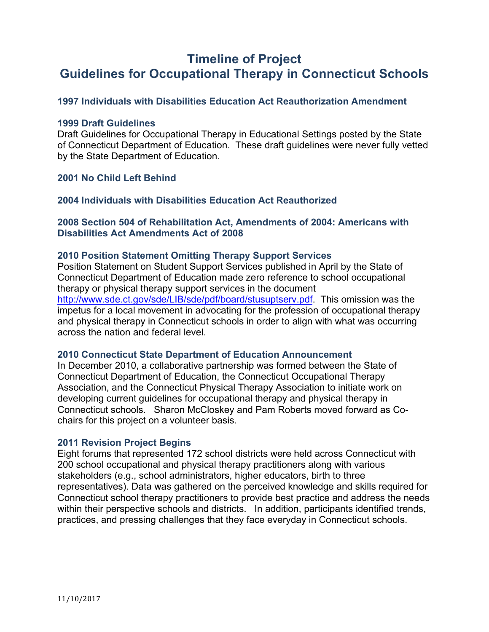# **Timeline of Project Guidelines for Occupational Therapy in Connecticut Schools**

# **1997 Individuals with Disabilities Education Act Reauthorization Amendment**

### **1999 Draft Guidelines**

Draft Guidelines for Occupational Therapy in Educational Settings posted by the State of Connecticut Department of Education. These draft guidelines were never fully vetted by the State Department of Education.

# **2001 No Child Left Behind**

## **2004 Individuals with Disabilities Education Act Reauthorized**

# **2008 Section 504 of Rehabilitation Act, Amendments of 2004: Americans with Disabilities Act Amendments Act of 2008**

#### **2010 Position Statement Omitting Therapy Support Services**

Position Statement on Student Support Services published in April by the State of Connecticut Department of Education made zero reference to school occupational therapy or physical therapy support services in the document

http://www.sde.ct.gov/sde/LIB/sde/pdf/board/stusuptserv.pdf. This omission was the impetus for a local movement in advocating for the profession of occupational therapy and physical therapy in Connecticut schools in order to align with what was occurring across the nation and federal level.

#### **2010 Connecticut State Department of Education Announcement**

In December 2010, a collaborative partnership was formed between the State of Connecticut Department of Education, the Connecticut Occupational Therapy Association, and the Connecticut Physical Therapy Association to initiate work on developing current guidelines for occupational therapy and physical therapy in Connecticut schools. Sharon McCloskey and Pam Roberts moved forward as Cochairs for this project on a volunteer basis.

## **2011 Revision Project Begins**

Eight forums that represented 172 school districts were held across Connecticut with 200 school occupational and physical therapy practitioners along with various stakeholders (e.g., school administrators, higher educators, birth to three representatives). Data was gathered on the perceived knowledge and skills required for Connecticut school therapy practitioners to provide best practice and address the needs within their perspective schools and districts. In addition, participants identified trends, practices, and pressing challenges that they face everyday in Connecticut schools.